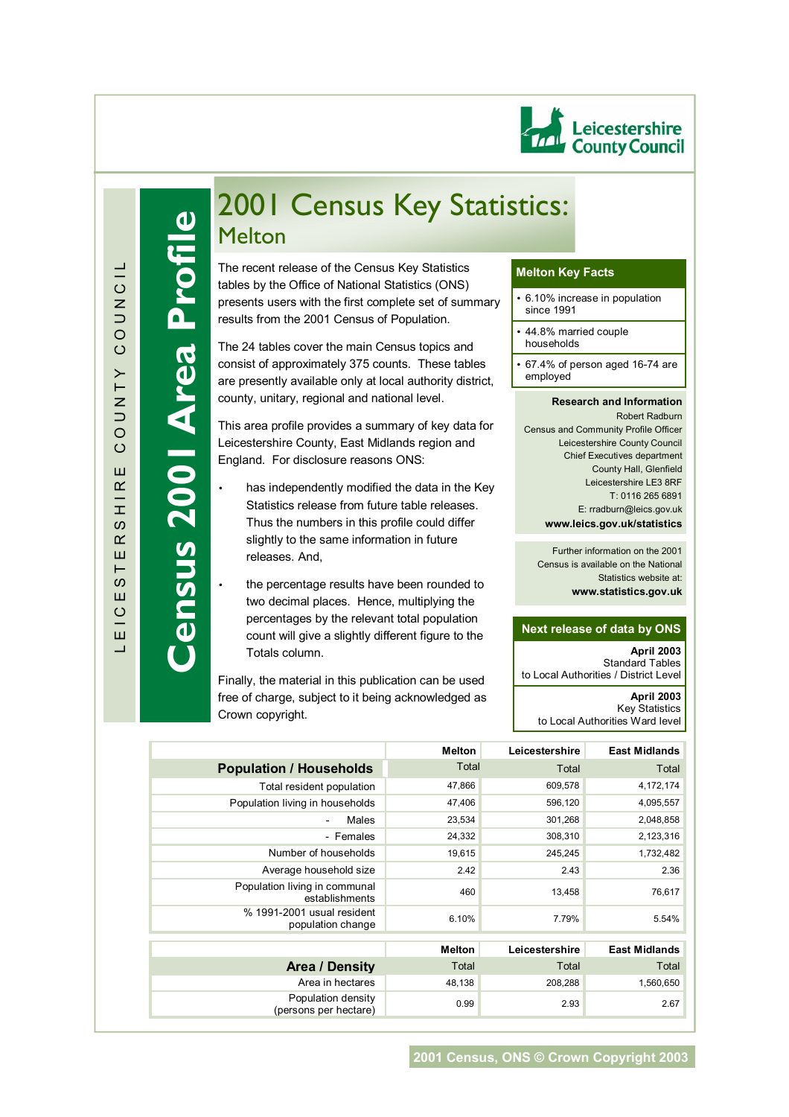

 $\Box$ 

**Census 2001 Area Profile**

ensus 2001 Area Pi

 $\frac{1}{\sqrt{2}}$ 

# 2001 Census Key Statistics: Melton

tables by the Office of National Statistics (ONS)<br>presents users with the first complete set of summary The recent release of the Census Key Statistics tables by the Office of National Statistics (ONS) results from the 2001 Census of Population.

The 24 tables cover the main Census topics and consist of approximately 375 counts. These tables are presently available only at local authority district, county, unitary, regional and national level.

This area profile provides a summary of key data for Leicestershire County, East Midlands region and England. For disclosure reasons ONS:

- has independently modified the data in the Key Statistics release from future table releases. Thus the numbers in this profile could differ slightly to the same information in future releases. And,
- the percentage results have been rounded to two decimal places. Hence, multiplying the percentages by the relevant total population count will give a slightly different figure to the Totals column.

Finally, the material in this publication can be used free of charge, subject to it being acknowledged as Crown copyright.

#### **Melton Key Facts**

- 6.10% increase in population since 1991
- 44.8% married couple households
- 67.4% of person aged 16-74 are employed

# **Research and Information**

Robert Radburn Census and Community Profile Officer Leicestershire County Council Chief Executives department County Hall, Glenfield Leicestershire LE3 8RF T: 0116 265 6891 E: rradburn@leics.gov.uk **www.leics.gov.uk/statistics**

Further information on the 2001 Census is available on the National Statistics website at: **www.statistics.gov.uk**

#### **Next release of data by ONS**

**April 2003**  Standard Tables to Local Authorities / District Level **April 2003** Key Statistics to Local Authorities Ward level

|                                                 | Melton        | Leicestershire | <b>East Midlands</b> |
|-------------------------------------------------|---------------|----------------|----------------------|
| <b>Population / Households</b>                  | Total         | Total          | Total                |
| Total resident population                       | 47,866        | 609,578        | 4,172,174            |
| Population living in households                 | 47,406        | 596,120        | 4,095,557            |
| Males<br>$\overline{\phantom{a}}$               | 23,534        | 301,268        | 2,048,858            |
| - Females                                       | 24,332        | 308,310        | 2,123,316            |
| Number of households                            | 19,615        | 245,245        | 1,732,482            |
| Average household size                          | 2.42          | 2.43           | 2.36                 |
| Population living in communal<br>establishments | 460           | 13,458         | 76,617               |
| % 1991-2001 usual resident<br>population change | 6.10%         | 7.79%          | 5.54%                |
|                                                 | <b>Melton</b> | Leicestershire | <b>East Midlands</b> |
| <b>Area / Density</b>                           | Total         | Total          | Total                |
|                                                 |               |                |                      |
| Area in hectares                                | 48,138        | 208,288        | 1,560,650            |
| Population density<br>(persons per hectare)     | 0.99          | 2.93           | 2.67                 |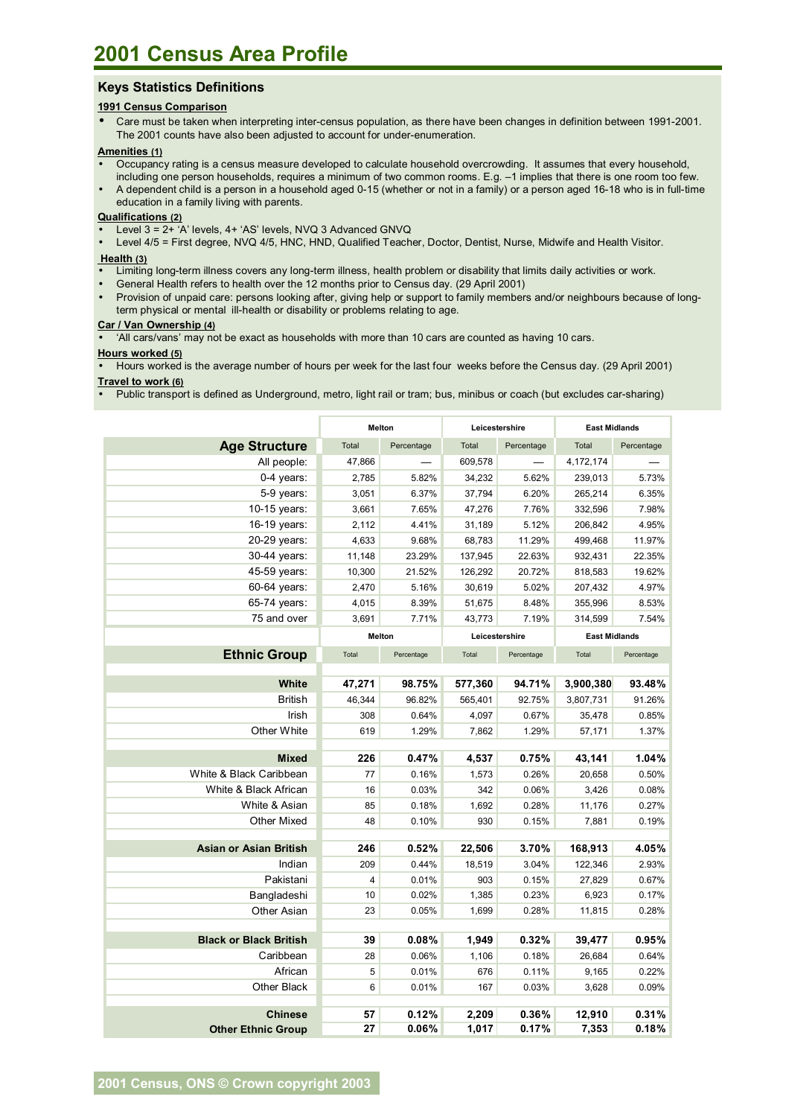## **Keys Statistics Definitions**

#### **1991 Census Comparison**

• Care must be taken when interpreting inter-census population, as there have been changes in definition between 1991-2001. The 2001 counts have also been adjusted to account for under-enumeration.

#### **Amenities (1)**

- Occupancy rating is a census measure developed to calculate household overcrowding. It assumes that every household, including one person households, requires a minimum of two common rooms. E.g. -1 implies that there is one room too few.
- A dependent child is a person in a household aged 0-15 (whether or not in a family) or a person aged 16-18 who is in full-time education in a family living with parents.

#### **Qualifications (2)**

- Level 3 = 2+ 'A' levels, 4+ 'AS' levels, NVQ 3 Advanced GNVQ
- Level 4/5 = First degree, NVQ 4/5, HNC, HND, Qualified Teacher, Doctor, Dentist, Nurse, Midwife and Health Visitor.

#### **Health (3)**

- Limiting long-term illness covers any long-term illness, health problem or disability that limits daily activities or work.
- General Health refers to health over the 12 months prior to Census day. (29 April 2001)
- Provision of unpaid care: persons looking after, giving help or support to family members and/or neighbours because of longterm physical or mental ill-health or disability or problems relating to age.

#### **Car / Van Ownership (4)**

• ëAll cars/vansí may not be exact as households with more than 10 cars are counted as having 10 cars.

#### **Hours worked (5)**

• Hours worked is the average number of hours per week for the last four weeks before the Census day. (29 April 2001)

## **Travel to work (6)**

• Public transport is defined as Underground, metro, light rail or tram; bus, minibus or coach (but excludes car-sharing)

|                               | <b>Melton</b> |            | Leicestershire |            | <b>East Midlands</b> |            |
|-------------------------------|---------------|------------|----------------|------------|----------------------|------------|
| <b>Age Structure</b>          | Total         | Percentage | Total          | Percentage | Total                | Percentage |
| All people:                   | 47,866        |            | 609,578        |            | 4,172,174            |            |
| 0-4 years:                    | 2,785         | 5.82%      | 34,232         | 5.62%      | 239,013              | 5.73%      |
| 5-9 years:                    | 3,051         | 6.37%      | 37,794         | 6.20%      | 265,214              | 6.35%      |
| 10-15 years:                  | 3,661         | 7.65%      | 47,276         | 7.76%      | 332,596              | 7.98%      |
| 16-19 years:                  | 2,112         | 4.41%      | 31,189         | 5.12%      | 206,842              | 4.95%      |
| 20-29 years:                  | 4,633         | 9.68%      | 68,783         | 11.29%     | 499,468              | 11.97%     |
| 30-44 years:                  | 11,148        | 23.29%     | 137,945        | 22.63%     | 932,431              | 22.35%     |
| 45-59 years:                  | 10,300        | 21.52%     | 126,292        | 20.72%     | 818,583              | 19.62%     |
| 60-64 years:                  | 2,470         | 5.16%      | 30,619         | 5.02%      | 207,432              | 4.97%      |
| 65-74 years:                  | 4,015         | 8.39%      | 51,675         | 8.48%      | 355,996              | 8.53%      |
| 75 and over                   | 3,691         | 7.71%      | 43,773         | 7.19%      | 314,599              | 7.54%      |
|                               | Melton        |            | Leicestershire |            | <b>East Midlands</b> |            |
| <b>Ethnic Group</b>           | Total         | Percentage | Total          | Percentage | Total                | Percentage |
|                               |               |            |                |            |                      |            |
| <b>White</b>                  | 47,271        | 98.75%     | 577,360        | 94.71%     | 3,900,380            | 93.48%     |
| <b>British</b>                | 46,344        | 96.82%     | 565,401        | 92.75%     | 3,807,731            | 91.26%     |
| Irish                         | 308           | 0.64%      | 4,097          | 0.67%      | 35,478               | 0.85%      |
| Other White                   | 619           | 1.29%      | 7,862          | 1.29%      | 57,171               | 1.37%      |
|                               |               |            |                |            |                      |            |
| <b>Mixed</b>                  | 226           | 0.47%      | 4,537          | 0.75%      | 43,141               | 1.04%      |
| White & Black Caribbean       | 77            | 0.16%      | 1,573          | 0.26%      | 20,658               | 0.50%      |
| White & Black African         | 16            | 0.03%      | 342            | 0.06%      | 3,426                | 0.08%      |
| White & Asian                 | 85            | 0.18%      | 1,692          | 0.28%      | 11,176               | 0.27%      |
| Other Mixed                   | 48            | 0.10%      | 930            | 0.15%      | 7,881                | 0.19%      |
| <b>Asian or Asian British</b> | 246           | 0.52%      | 22,506         | 3.70%      | 168,913              | 4.05%      |
| Indian                        | 209           | 0.44%      | 18,519         | 3.04%      | 122,346              | 2.93%      |
| Pakistani                     | 4             | 0.01%      | 903            | 0.15%      | 27,829               | 0.67%      |
| Bangladeshi                   | 10            | 0.02%      | 1,385          | 0.23%      | 6,923                | 0.17%      |
| <b>Other Asian</b>            | 23            | 0.05%      | 1,699          | 0.28%      | 11,815               | 0.28%      |
|                               |               |            |                |            |                      |            |
| <b>Black or Black British</b> | 39            | 0.08%      | 1,949          | 0.32%      | 39,477               | 0.95%      |
| Caribbean                     | 28            | 0.06%      | 1,106          | 0.18%      | 26,684               | 0.64%      |
| African                       | 5             | 0.01%      | 676            | 0.11%      | 9,165                | 0.22%      |
| Other Black                   | 6             | 0.01%      | 167            | 0.03%      | 3,628                | 0.09%      |
|                               |               |            |                |            |                      |            |
| <b>Chinese</b>                | 57            | 0.12%      | 2,209          | 0.36%      | 12,910               | 0.31%      |
| <b>Other Ethnic Group</b>     | 27            | 0.06%      | 1,017          | 0.17%      | 7,353                | 0.18%      |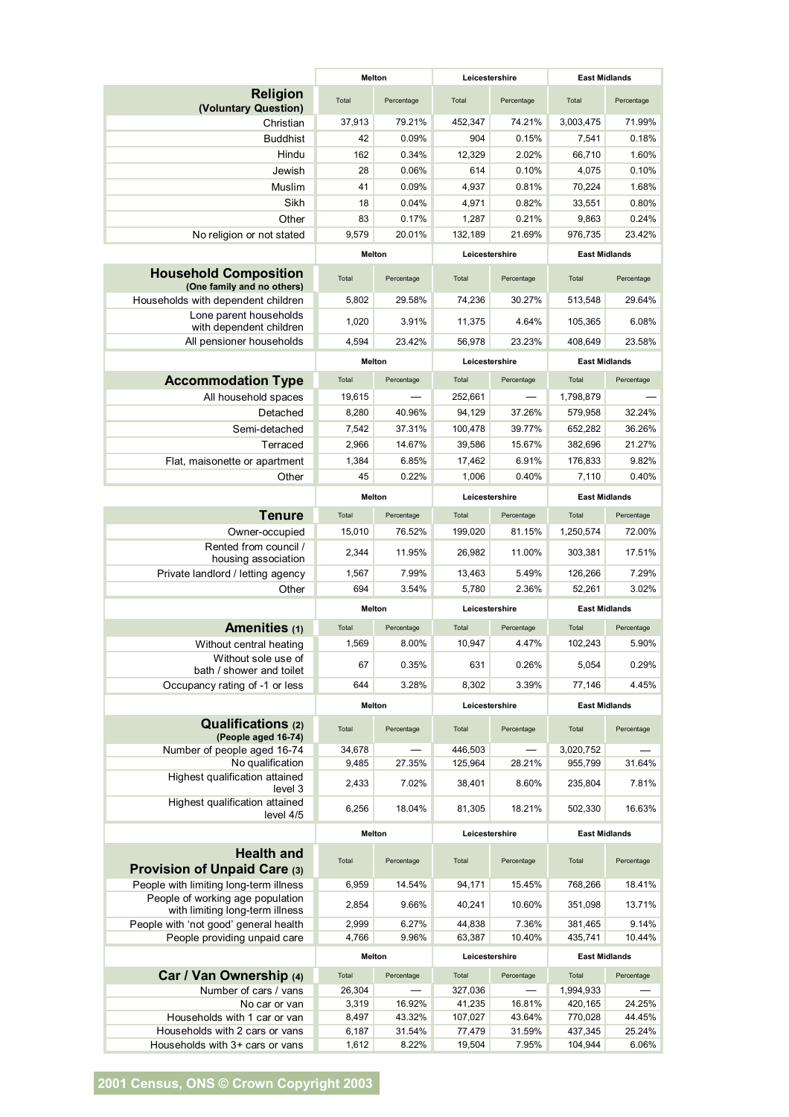|                                                                     | Melton          |                 | Leicestershire                     |                 | <b>East Midlands</b>                      |                      |  |
|---------------------------------------------------------------------|-----------------|-----------------|------------------------------------|-----------------|-------------------------------------------|----------------------|--|
| <b>Religion</b><br>(Voluntary Question)                             | Total           | Percentage      | Total                              | Percentage      | Total                                     | Percentage           |  |
| Christian                                                           | 37,913          | 79.21%          | 452,347                            | 74.21%          | 3,003,475                                 | 71.99%               |  |
| <b>Buddhist</b>                                                     | 42              | 0.09%           | 904                                | 0.15%           | 7,541                                     | 0.18%                |  |
| Hindu                                                               | 162             | 0.34%           | 12,329                             | 2.02%           | 66,710                                    | 1.60%                |  |
| Jewish                                                              | 28              | 0.06%           | 614                                | 0.10%           | 4,075                                     | 0.10%                |  |
| Muslim                                                              | 41              | 0.09%           | 4,937                              | 0.81%           | 70,224                                    | 1.68%                |  |
| Sikh                                                                | 18              | 0.04%           | 4,971                              | 0.82%           | 33,551                                    | 0.80%                |  |
| Other                                                               | 83              | 0.17%           | 1,287                              | 0.21%           | 9,863                                     | 0.24%                |  |
| No religion or not stated                                           | 9.579           | 20.01%          | 132,189                            | 21.69%          | 976,735                                   | 23.42%               |  |
|                                                                     | Melton          |                 | Leicestershire                     |                 | <b>East Midlands</b>                      |                      |  |
| <b>Household Composition</b><br>(One family and no others)          | Total           | Percentage      | Total                              | Percentage      | Total                                     | Percentage           |  |
| Households with dependent children                                  | 5,802           | 29.58%          | 74,236                             | 30.27%          | 513,548                                   | 29.64%               |  |
| Lone parent households                                              | 1,020           | 3.91%           | 11,375                             | 4.64%           | 105,365                                   | 6.08%                |  |
| with dependent children                                             |                 |                 |                                    |                 |                                           |                      |  |
| All pensioner households                                            | 4,594           | 23.42%          | 56,978                             | 23.23%          | 408,649                                   | 23.58%               |  |
|                                                                     | Melton          |                 | Leicestershire                     |                 | <b>East Midlands</b>                      |                      |  |
| <b>Accommodation Type</b>                                           | Total           | Percentage      | Total                              | Percentage      | Total                                     | Percentage           |  |
| All household spaces                                                | 19,615          |                 | 252,661                            |                 | 1,798,879                                 |                      |  |
| Detached                                                            | 8,280           | 40.96%          | 94.129                             | 37.26%          | 579,958                                   | 32.24%               |  |
| Semi-detached                                                       | 7,542           | 37.31%          | 100,478                            | 39.77%          | 652,282                                   | 36.26%               |  |
| Terraced                                                            | 2,966           | 14.67%          | 39,586                             | 15.67%          | 382,696                                   | 21.27%               |  |
| Flat, maisonette or apartment                                       | 1,384           | 6.85%           | 17,462                             | 6.91%           | 176,833                                   | 9.82%                |  |
| Other                                                               | 45              | 0.22%           | 1,006                              | 0.40%           | 7,110                                     | 0.40%                |  |
|                                                                     | <b>Melton</b>   |                 |                                    | Leicestershire  |                                           | <b>East Midlands</b> |  |
| <b>Tenure</b>                                                       | Total           | Percentage      | Total                              | Percentage      | Total                                     | Percentage           |  |
| Owner-occupied                                                      | 15,010          | 76.52%          | 199,020                            | 81.15%          | 1,250,574                                 | 72.00%               |  |
| Rented from council /                                               | 2,344           | 11.95%          | 26,982                             | 11.00%          | 303,381                                   | 17.51%               |  |
| housing association                                                 |                 |                 |                                    |                 |                                           |                      |  |
| Private landlord / letting agency                                   | 1,567           | 7.99%           | 13,463                             | 5.49%           | 126,266                                   | 7.29%                |  |
| Other                                                               | 694             | 3.54%           | 5,780                              | 2.36%           | 52,261                                    | 3.02%                |  |
|                                                                     | Melton          |                 | Leicestershire                     |                 | <b>East Midlands</b>                      |                      |  |
| Amenities (1)                                                       | Total           | Percentage      | Total                              | Percentage      | Total                                     | Percentage           |  |
| Without central heating                                             | 1,569           | 8.00%           | 10,947                             | 4.47%           | 102,243                                   | 5.90%                |  |
| Without sole use of<br>bath / shower and toilet                     | 67              | 0.35%           | 631                                | 0.26%           | 5,054                                     | 0.29%                |  |
| Occupancy rating of -1 or less                                      | 644             | 3.28%           | 8,302                              | 3.39%           | 77,146                                    | 4.45%                |  |
|                                                                     | <b>Melton</b>   |                 | Leicestershire                     |                 | <b>East Midlands</b>                      |                      |  |
| <b>Qualifications (2)</b><br>(People aged 16-74)                    | Total           | Percentage      | Total                              | Percentage      | Total                                     | Percentage           |  |
| Number of people aged 16-74                                         | 34,678          |                 | 446,503                            |                 | 3,020,752                                 |                      |  |
| No qualification<br>Highest qualification attained                  | 9,485<br>2,433  | 27.35%<br>7.02% | 125,964<br>38,401                  | 28.21%<br>8.60% | 955,799<br>235,804                        | 31.64%<br>7.81%      |  |
| level 3<br>Highest qualification attained                           |                 |                 |                                    |                 |                                           | 16.63%               |  |
| level 4/5                                                           | 6,256           | 18.04%          | 81,305                             | 18.21%          | 502,330                                   |                      |  |
|                                                                     | <b>Melton</b>   |                 | Leicestershire                     |                 | <b>East Midlands</b>                      |                      |  |
| <b>Health and</b>                                                   | Total           | Percentage      | Total                              | Percentage      | Total                                     | Percentage           |  |
| <b>Provision of Unpaid Care (3)</b>                                 |                 |                 |                                    |                 |                                           |                      |  |
| People with limiting long-term illness                              | 6,959           | 14.54%          | 94,171                             | 15.45%          | 768,266                                   | 18.41%               |  |
| People of working age population<br>with limiting long-term illness | 2,854           | 9.66%           | 40,241                             | 10.60%          | 351,098                                   | 13.71%               |  |
| People with 'not good' general health                               | 2,999           | 6.27%           | 44,838                             | 7.36%           | 381,465                                   | 9.14%                |  |
| People providing unpaid care                                        | 4,766<br>9.96%  |                 | 63,387<br>10.40%<br>Leicestershire |                 | 435,741<br>10.44%<br><b>East Midlands</b> |                      |  |
|                                                                     |                 | Melton          |                                    |                 |                                           |                      |  |
| Car / Van Ownership (4)                                             | Total           | Percentage      | Total                              | Percentage      | Total                                     | Percentage           |  |
| Number of cars / vans<br>No car or van                              | 26,304<br>3,319 | 16.92%          | 327,036<br>41,235                  | 16.81%          | 1,994,933<br>420,165                      | 24.25%               |  |
| Households with 1 car or van                                        | 8,497           | 43.32%          | 107,027                            | 43.64%          | 770,028                                   | 44.45%               |  |
| Households with 2 cars or vans                                      | 6,187           | 31.54%          | 77,479                             | 31.59%          | 437,345                                   | 25.24%               |  |
|                                                                     |                 | 8.22%           | 19,504                             | 7.95%           | 104,944                                   | 6.06%                |  |